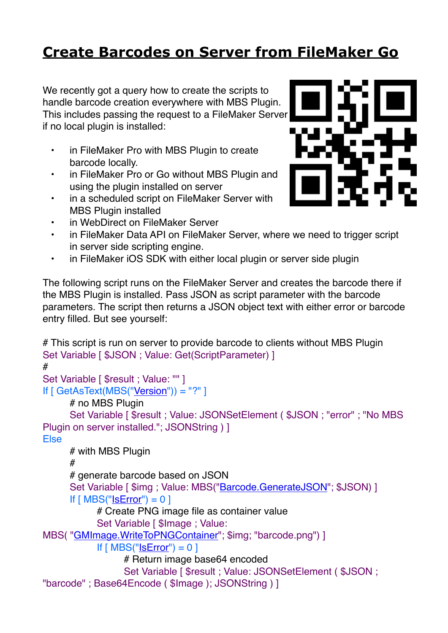## **[Create Barcodes on Server from FileMaker Go](https://www.mbs-plugins.com/archive/2020-01-22/Create_Barcodes_on_Server_from/monkeybreadsoftware_blog_filemaker)**

We recently got a query how to create the scripts to handle barcode creation everywhere with MBS Plugin. This includes passing the request to a FileMaker Server if no local plugin is installed:

- in FileMaker Pro with MBS Plugin to create barcode locally.
- in FileMaker Pro or Go without MBS Plugin and using the plugin installed on server
- in a scheduled script on FileMaker Server with MBS Plugin installed
- in WebDirect on FileMaker Server
- in FileMaker Data API on FileMaker Server, where we need to trigger script in server side scripting engine.
- in FileMaker iOS SDK with either local plugin or server side plugin

The following script runs on the FileMaker Server and creates the barcode there if the MBS Plugin is installed. Pass JSON as script parameter with the barcode parameters. The script then returns a JSON object text with either error or barcode entry filled. But see yourself:

# This script is run on server to provide barcode to clients without MBS Plugin Set Variable [  $$JSON$  ; Value: Get(ScriptParameter) ] # Set Variable [ \$result : Value: "" ] If [ GetAsText(MBS("[Version](http://www.mbsplugins.eu/Version.shtml)")) = "?" ] # no MBS Plugin Set Variable [ \$result ; Value: JSONSetElement ( \$JSON ; "error" ; "No MBS Plugin on server installed."; JSONString ) ] Else # with MBS Plugin # # generate barcode based on JSON Set Variable [ \$img ; Value: MBS(["Barcode.GenerateJSON](http://www.mbsplugins.eu/BarcodeGenerateJSON.shtml)"; \$JSON) ] If  $[MBS("ISError") = 0]$ # Create PNG image file as container value Set Variable [ \$Image ; Value: MBS(["GMImage.WriteToPNGContainer](http://www.mbsplugins.eu/GMImageWriteToPNGContainer.shtml)"; \$img; "barcode.png") ] If  $[MBS("ISError") = 0]$ # Return image base64 encoded Set Variable [ \$result : Value: JSONSetElement ( \$JSON ; "barcode" ; Base64Encode ( \$Image ); JSONString ) ]

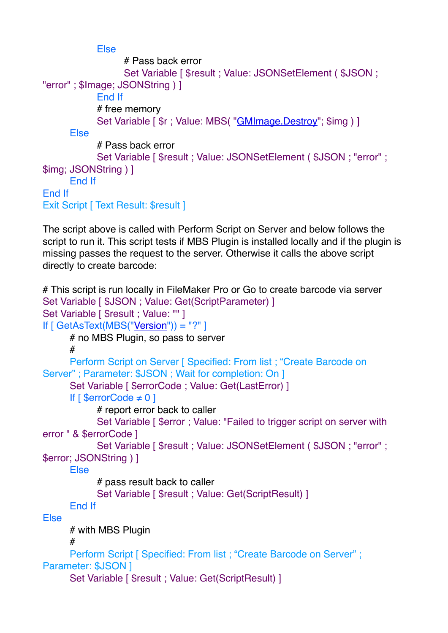```
Else
                # Pass back error
                 Set Variable [ $result ; Value: JSONSetElement ( $JSON ;
"error" ; $Image; JSONString ) ]
           End If
           # free memory
           GMImage.Destroy"; $img ) ]
     Else
           # Pass back error
           Set Variable [ $result ; Value: JSONSetElement ( $JSON ; "error" ; 
$img; JSONString ) ]
     End If
End If
Exit Script [ Text Result: $result ]
```
The script above is called with Perform Script on Server and below follows the script to run it. This script tests if MBS Plugin is installed locally and if the plugin is missing passes the request to the server. Otherwise it calls the above script directly to create barcode:

```
# This script is run locally in FileMaker Pro or Go to create barcode via server
Set Variable [ $JSON ; Value: Get(ScriptParameter) ]
Set Variable [ $result : Value: "" ]
If [ GetAsText(MBS("Version")) = "?" ]
      # no MBS Plugin, so pass to server
      #
      Perform Script on Server [ Specified: From list ; "Create Barcode on 
Server" ; Parameter: $JSON ; Wait for completion: On ]
      Set Variable [ $errorCode ; Value: Get(LastError) ]
      If \lceil $errorCode \neq 0 \rceil# report error back to caller
             Set Variable [ $error ; Value: "Failed to trigger script on server with 
error " & $errorCode ]
             Set Variable [ $result ; Value: JSONSetElement ( $JSON ; "error" ; 
$error; JSONString ) ]
      Else
            # pass result back to caller
             Set Variable [ $result ; Value: Get(ScriptResult) ]
      End If
Else
      # with MBS Plugin
      #
      Perform Script [ Specified: From list ; "Create Barcode on Server" ;
Parameter: $JSON 1
      Set Variable [ $result ; Value: Get(ScriptResult) ]
```